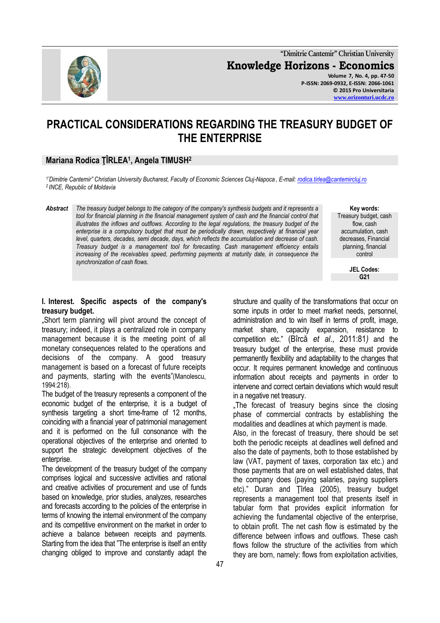

**"Dimitrie Cantemir" Christian University Knowledge Horizons - Economics Volume 7, No. 4, pp. 47-50 P-ISSN: 2069-0932, E-ISSN: 2066-1061 © 2015 Pro Universitaria [www.orizonturi.ucdc.ro](http://www.orizonturi.ucdc.ro/)**

# **PRACTICAL CONSIDERATIONS REGARDING THE TREASURY BUDGET OF THE ENTERPRISE**

## **Mariana Rodica ŢÎRLEA<sup>1</sup> , Angela TIMUSH<sup>2</sup>**

*<sup>1</sup>"Dimitrie Cantemir" Christian University Bucharest, Faculty of Economic Sciences Cluj-Napoca , E-mail: [rodica.tirlea@cantemircluj.ro](mailto:rodica.tirlea@cantemircluj.ro) <sup>2</sup>INCE, Republic of Moldavia* 

*Abstract The treasury budget belongs to the category of the company's synthesis budgets and it represents a tool for financial planning in the financial management system of cash and the financial control that illustrates the inflows and outflows. According to the legal regulations, the treasury budget of the enterprise is a compulsory budget that must be periodically drawn, respectively at financial year level, quarters, decades, semi decade, days, which reflects the accumulation and decrease of cash. Treasury budget is a management tool for forecasting. Cash management efficiency entails increasing of the receivables speed, performing payments at maturity date, in consequence the synchronization of cash flows.*

#### **Key words:** Treasury budget, cash flow, cash accumulation, cash decreases, Financial planning, financial control

**JEL Codes: G21**

#### **I. Interest. Specific aspects of the company's treasury budget.**

"Short term planning will pivot around the concept of treasury; indeed, it plays a centralized role in company management because it is the meeting point of all monetary consequences related to the operations and decisions of the company. A good treasury management is based on a forecast of future receipts and payments, starting with the events"(Manolescu, 1994:218).

The budget of the treasury represents a component of the economic budget of the enterprise, it is a budget of synthesis targeting a short time-frame of 12 months, coinciding with a financial year of patrimonial management and it is performed on the full consonance with the operational objectives of the enterprise and oriented to support the strategic development objectives of the enterprise.

The development of the treasury budget of the company comprises logical and successive activities and rational and creative activities of procurement and use of funds based on knowledge, prior studies, analyzes, researches and forecasts according to the policies of the enterprise in terms of knowing the internal environment of the company and its competitive environment on the market in order to achieve a balance between receipts and payments. Starting from the idea that "The enterprise is itself an entity changing obliged to improve and constantly adapt the

structure and quality of the transformations that occur on some inputs in order to meet market needs, personnel, administration and to win itself in terms of profit, image, market share, capacity expansion, resistance to competition etc." (Bîrcă *et al*., 2011:81*)* and the treasury budget of the enterprise, these must provide permanently flexibility and adaptability to the changes that occur. It requires permanent knowledge and continuous information about receipts and payments in order to intervene and correct certain deviations which would result in a negative net treasury.

.The forecast of treasury begins since the closing phase of commercial contracts by establishing the modalities and deadlines at which payment is made.

Also, in the forecast of treasury, there should be set both the periodic receipts at deadlines well defined and also the date of payments, both to those established by law (VAT, payment of taxes, corporation tax etc.) and those payments that are on well established dates, that the company does (paying salaries, paying suppliers etc)." Duran and Ţîrlea (2005), treasury budget represents a management tool that presents itself in tabular form that provides explicit information for achieving the fundamental objective of the enterprise, to obtain profit. The net cash flow is estimated by the difference between inflows and outflows. These cash flows follow the structure of the activities from which they are born, namely: flows from exploitation activities,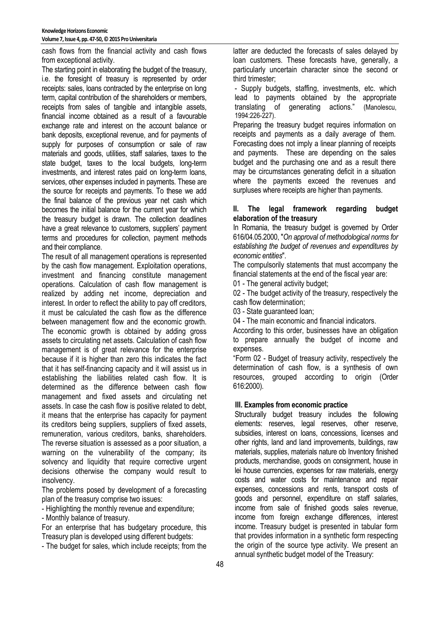cash flows from the financial activity and cash flows from exceptional activity.

The starting point in elaborating the budget of the treasury, i.e. the foresight of treasury is represented by order receipts: sales, loans contracted by the enterprise on long term, capital contribution of the shareholders or members, receipts from sales of tangible and intangible assets, financial income obtained as a result of a favourable exchange rate and interest on the account balance or bank deposits, exceptional revenue, and for payments of supply for purposes of consumption or sale of raw materials and goods, utilities, staff salaries, taxes to the state budget, taxes to the local budgets, long-term investments, and interest rates paid on long-term loans, services, other expenses included in payments. These are the source for receipts and payments. To these we add the final balance of the previous year net cash which becomes the initial balance for the current year for which the treasury budget is drawn. The collection deadlines have a great relevance to customers, suppliers' payment terms and procedures for collection, payment methods and their compliance.

The result of all management operations is represented by the cash flow management. Exploitation operations, investment and financing constitute management operations. Calculation of cash flow management is realized by adding net income, depreciation and interest. In order to reflect the ability to pay off creditors, it must be calculated the cash flow as the difference between management flow and the economic growth. The economic growth is obtained by adding gross assets to circulating net assets. Calculation of cash flow management is of great relevance for the enterprise because if it is higher than zero this indicates the fact that it has self-financing capacity and it will assist us in establishing the liabilities related cash flow. It is determined as the difference between cash flow management and fixed assets and circulating net assets. In case the cash flow is positive related to debt, it means that the enterprise has capacity for payment its creditors being suppliers, suppliers of fixed assets, remuneration, various creditors, banks, shareholders. The reverse situation is assessed as a poor situation, a warning on the vulnerability of the company; its solvency and liquidity that require corrective urgent decisions otherwise the company would result to insolvency.

The problems posed by development of a forecasting plan of the treasury comprise two issues:

- Highlighting the monthly revenue and expenditure;

- Monthly balance of treasury.

For an enterprise that has budgetary procedure, this Treasury plan is developed using different budgets:

- The budget for sales, which include receipts; from the

latter are deducted the forecasts of sales delayed by loan customers. These forecasts have, generally, a particularly uncertain character since the second or third trimester;

- Supply budgets, staffing, investments, etc. which lead to payments obtained by the appropriate translating of generating actions." (Manolescu, 1994:226-227).

Preparing the treasury budget requires information on receipts and payments as a daily average of them. Forecasting does not imply a linear planning of receipts and payments. These are depending on the sales budget and the purchasing one and as a result there may be circumstances generating deficit in a situation where the payments exceed the revenues and surpluses where receipts are higher than payments.

## **II. The legal framework regarding budget elaboration of the treasury**

In Romania, the treasury budget is governed by Order 616/04.05.2000, "*On approval of methodological norms for establishing the budget of revenues and expenditures by economic entities*".

The compulsorily statements that must accompany the financial statements at the end of the fiscal year are:

01 - The general activity budget:

02 - The budget activity of the treasury, respectively the cash flow determination;

03 - State guaranteed loan;

04 - The main economic and financial indicators.

According to this order, businesses have an obligation to prepare annually the budget of income and expenses.

"Form 02 - Budget of treasury activity, respectively the determination of cash flow, is a synthesis of own resources, grouped according to origin (Order 616:2000).

## **III. Examples from economic practice**

Structurally budget treasury includes the following elements: reserves, legal reserves, other reserve, subsidies, interest on loans, concessions, licenses and other rights, land and land improvements, buildings, raw materials, supplies, materials nature ob Inventory finished products, merchandise, goods on consignment, house in lei house currencies, expenses for raw materials, energy costs and water costs for maintenance and repair expenses, concessions and rents, transport costs of goods and personnel, expenditure on staff salaries, income from sale of finished goods sales revenue, income from foreign exchange differences, interest income. Treasury budget is presented in tabular form that provides information in a synthetic form respecting the origin of the source type activity. We present an annual synthetic budget model of the Treasury: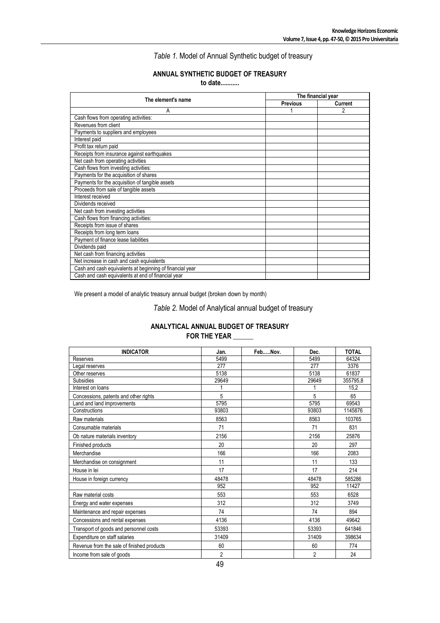*Table 1.* Model of Annual Synthetic budget of treasury

## **ANNUAL SYNTHETIC BUDGET OF TREASURY**

**to date...........**

| The element's name                                       | The financial year |         |  |
|----------------------------------------------------------|--------------------|---------|--|
|                                                          | <b>Previous</b>    | Current |  |
| A                                                        |                    | 2       |  |
| Cash flows from operating activities:                    |                    |         |  |
| Revenues from client                                     |                    |         |  |
| Payments to suppliers and employees                      |                    |         |  |
| Interest paid                                            |                    |         |  |
| Profit tax return paid                                   |                    |         |  |
| Receipts from insurance against earthquakes              |                    |         |  |
| Net cash from operating activities                       |                    |         |  |
| Cash flows from investing activities:                    |                    |         |  |
| Payments for the acquisition of shares                   |                    |         |  |
| Payments for the acquisition of tangible assets          |                    |         |  |
| Proceeds from sale of tangible assets                    |                    |         |  |
| Interest received                                        |                    |         |  |
| Dividends received                                       |                    |         |  |
| Net cash from investing activities                       |                    |         |  |
| Cash flows from financing activities:                    |                    |         |  |
| Receipts from issue of shares                            |                    |         |  |
| Receipts from long term loans                            |                    |         |  |
| Payment of finance lease liabilities                     |                    |         |  |
| Dividends paid                                           |                    |         |  |
| Net cash from financing activities                       |                    |         |  |
| Net increase in cash and cash equivalents                |                    |         |  |
| Cash and cash equivalents at beginning of financial year |                    |         |  |
| Cash and cash equivalents at end of financial year       |                    |         |  |

We present a model of analytic treasury annual budget (broken down by month)

*Table 2.* Model of Analytical annual budget of treasury

## **ANALYTICAL ANNUAL BUDGET OF TREASURY FOR THE YEAR \_\_\_\_\_\_**

| <b>INDICATOR</b>                           | Jan.  | FebNov. | Dec.           | <b>TOTAL</b> |
|--------------------------------------------|-------|---------|----------------|--------------|
| Reserves                                   | 5499  |         | 5499           | 64324        |
| Legal reserves                             | 277   |         | 277            | 3376         |
| Other reserves                             | 5138  |         | 5138           | 61837        |
| <b>Subsidies</b>                           | 29649 |         | 29649          | 355795,8     |
| Interest on loans                          |       |         |                | 15,2         |
| Concessions, patents and other rights      | 5     |         | 5              | 65           |
| Land and land improvements                 | 5795  |         | 5795           | 69543        |
| Constructions                              | 93803 |         | 93803          | 1145876      |
| Raw materials                              | 8563  |         | 8563           | 103765       |
| Consumable materials                       | 71    |         | 71             | 831          |
| Ob nature materials inventory              | 2156  |         | 2156           | 25876        |
| Finished products                          | 20    |         | 20             | 297          |
| Merchandise                                | 166   |         | 166            | 2083         |
| Merchandise on consignment                 | 11    |         | 11             | 133          |
| House in lei                               | 17    |         | 17             | 214          |
| House in foreign currency                  | 48478 |         | 48478          | 585286       |
|                                            | 952   |         | 952            | 11427        |
| Raw material costs                         | 553   |         | 553            | 6528         |
| Energy and water expenses                  | 312   |         | 312            | 3749         |
| Maintenance and repair expenses            | 74    |         | 74             | 894          |
| Concessions and rental expenses            | 4136  |         | 4136           | 49642        |
| Transport of goods and personnel costs     | 53393 |         | 53393          | 641846       |
| Expenditure on staff salaries              | 31409 |         | 31409          | 398634       |
| Revenue from the sale of finished products | 60    |         | 60             | 774          |
| Income from sale of goods                  | 2     |         | $\overline{c}$ | 24           |